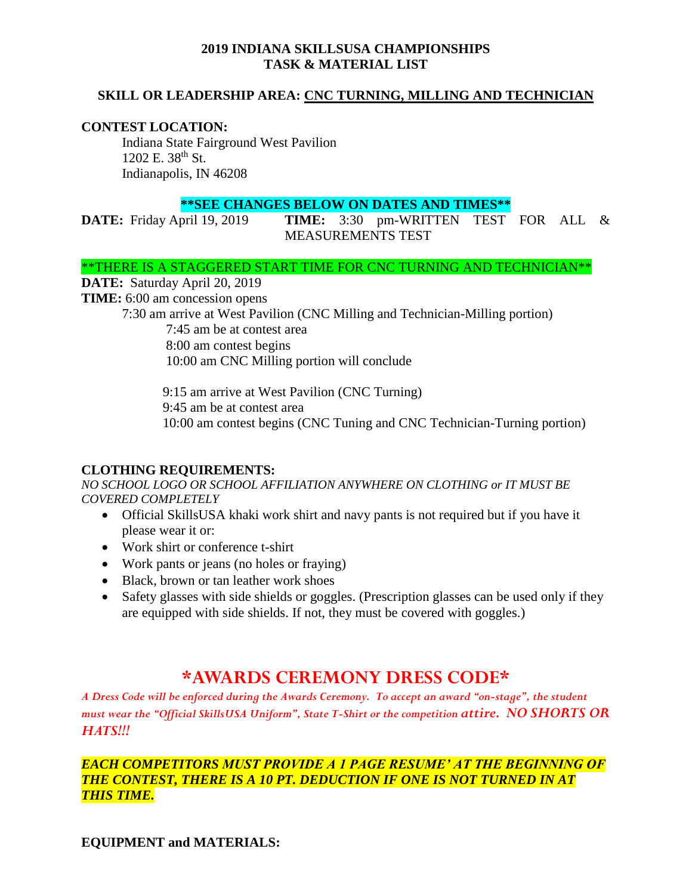## **2019 INDIANA SKILLSUSA CHAMPIONSHIPS TASK & MATERIAL LIST**

## **SKILL OR LEADERSHIP AREA: CNC TURNING, MILLING AND TECHNICIAN**

### **CONTEST LOCATION:**

Indiana State Fairground West Pavilion 1202 E. 38<sup>th</sup> St. Indianapolis, IN 46208

#### **\*\*SEE CHANGES BELOW ON DATES AND TIMES\*\***

**DATE:** Friday April 19, 2019 **TIME:** 3:30 pm-WRITTEN TEST FOR ALL & MEASUREMENTS TEST

#### \*\*THERE IS A STAGGERED START TIME FOR CNC TURNING AND TECHNICIAN\*\*

**DATE:** Saturday April 20, 2019

**TIME:** 6:00 am concession opens

7:30 am arrive at West Pavilion (CNC Milling and Technician-Milling portion) 7:45 am be at contest area 8:00 am contest begins 10:00 am CNC Milling portion will conclude

9:15 am arrive at West Pavilion (CNC Turning) 9:45 am be at contest area 10:00 am contest begins (CNC Tuning and CNC Technician-Turning portion)

## **CLOTHING REQUIREMENTS:**

*NO SCHOOL LOGO OR SCHOOL AFFILIATION ANYWHERE ON CLOTHING or IT MUST BE COVERED COMPLETELY*

- Official SkillsUSA khaki work shirt and navy pants is not required but if you have it please wear it or:
- Work shirt or conference t-shirt
- Work pants or jeans (no holes or fraying)
- Black, brown or tan leather work shoes
- Safety glasses with side shields or goggles. (Prescription glasses can be used only if they are equipped with side shields. If not, they must be covered with goggles.)

# **\*AWARDS CEREMONY DRESS CODE\***

*A Dress Code will be enforced during the Awards Ceremony. To accept an award "on-stage", the student must wear the "Official SkillsUSA Uniform", State T-Shirt or the competition attire. NO SHORTS OR HATS!!!*

*EACH COMPETITORS MUST PROVIDE A 1 PAGE RESUME' AT THE BEGINNING OF THE CONTEST, THERE IS A 10 PT. DEDUCTION IF ONE IS NOT TURNED IN AT THIS TIME.*

**EQUIPMENT and MATERIALS:**